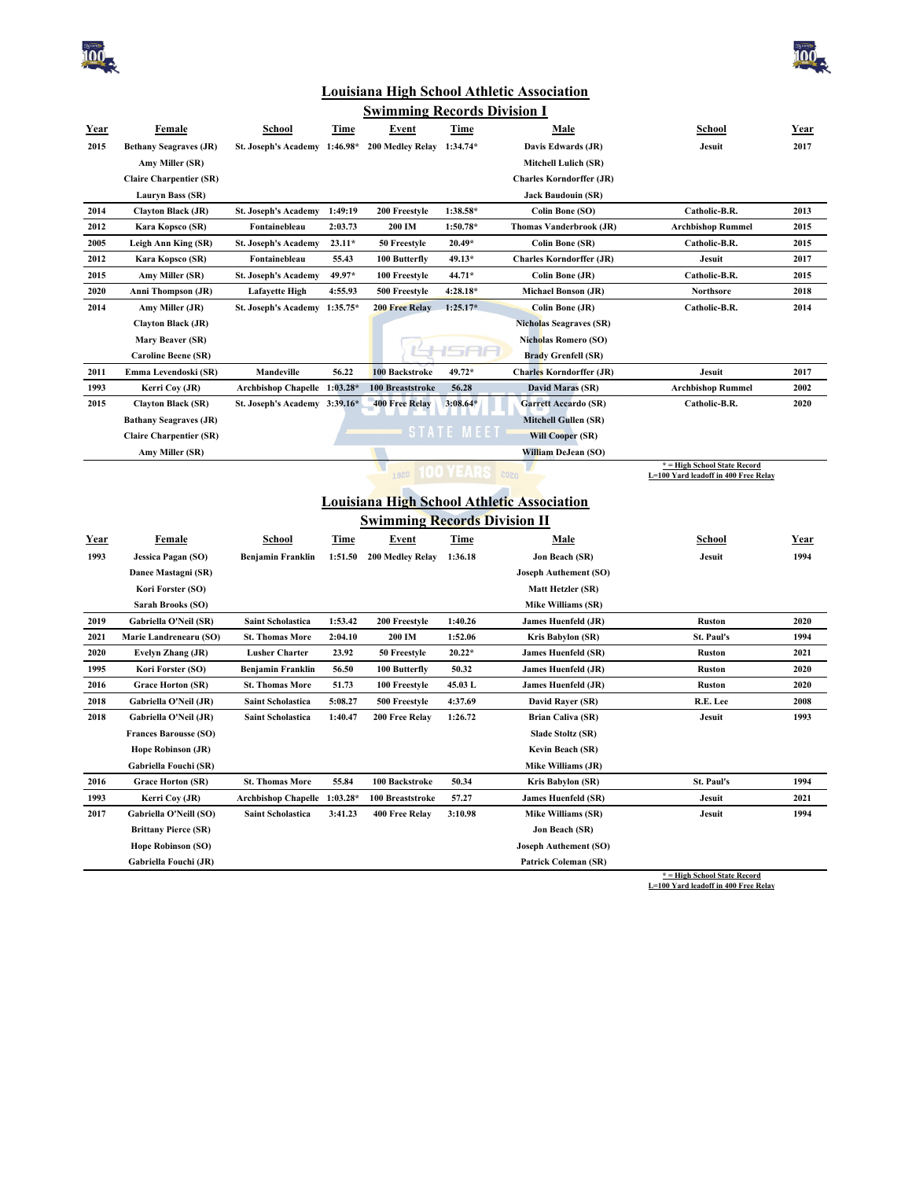



## **Louisiana High School Athletic Association**

| <u>Swimming Records Division I</u> |                                                    |                               |             |                                     |                          |                                                      |                                                                      |             |  |
|------------------------------------|----------------------------------------------------|-------------------------------|-------------|-------------------------------------|--------------------------|------------------------------------------------------|----------------------------------------------------------------------|-------------|--|
| <u>Year</u>                        | <b>Female</b>                                      | <b>School</b>                 | <u>Time</u> | <b>Event</b>                        | <u>Time</u>              | <b>Male</b>                                          | <u>School</u>                                                        | <u>Year</u> |  |
| 2015                               | <b>Bethany Seagraves (JR)</b>                      | St. Joseph's Academy 1:46.98* |             | 200 Medley Relay                    | $1:34.74*$               | Davis Edwards (JR)                                   | Jesuit                                                               | 2017        |  |
|                                    | Amy Miller (SR)                                    |                               |             |                                     |                          | Mitchell Lulich (SR)                                 |                                                                      |             |  |
|                                    | <b>Claire Charpentier (SR)</b>                     |                               |             |                                     |                          | <b>Charles Korndorffer (JR)</b>                      |                                                                      |             |  |
|                                    | Lauryn Bass (SR)                                   |                               |             |                                     |                          | <b>Jack Baudouin (SR)</b>                            |                                                                      |             |  |
| 2014                               | <b>Clayton Black (JR)</b>                          | <b>St. Joseph's Academy</b>   | 1:49:19     | 200 Freestyle                       | 1:38.58*                 | Colin Bone (SO)                                      | Catholic-B.R.                                                        | 2013        |  |
| 2012                               | Kara Kopsco (SR)                                   | Fontainebleau                 | 2:03.73     | 200 IM                              | $1:50.78*$               | <b>Thomas Vanderbrook (JR)</b>                       | <b>Archbishop Rummel</b>                                             | 2015        |  |
| 2005                               | Leigh Ann King (SR)                                | St. Joseph's Academy          | $23.11*$    | 50 Freestyle                        | $20.49*$                 | <b>Colin Bone (SR)</b>                               | Catholic-B.R.                                                        | 2015        |  |
| 2012                               | Kara Kopsco (SR)                                   | Fontainebleau                 | 55.43       | 100 Butterfly                       | 49.13*                   | <b>Charles Korndorffer (JR)</b>                      | Jesuit                                                               | 2017        |  |
| 2015                               | Amy Miller (SR)                                    | <b>St. Joseph's Academy</b>   | 49.97*      | 100 Freestyle                       | 44.71*                   | Colin Bone (JR)                                      | Catholic-B.R.                                                        | 2015        |  |
| 2020                               | <b>Anni Thompson (JR)</b>                          | <b>Lafayette High</b>         | 4:55.93     | 500 Freestyle                       | 4:28.18*                 | <b>Michael Bonson (JR)</b>                           | Northsore                                                            | 2018        |  |
| 2014                               | Amy Miller (JR)                                    | <b>St. Joseph's Academy</b>   | $1:35.75*$  | <b>200 Free Relay</b>               | $1:25.17*$               | <b>Colin Bone (JR)</b>                               | Catholic-B.R.                                                        | 2014        |  |
|                                    | <b>Clayton Black (JR)</b>                          |                               |             |                                     |                          | <b>Nicholas Seagraves (SR)</b>                       |                                                                      |             |  |
|                                    | Mary Beaver (SR)                                   |                               |             |                                     |                          | <b>Nicholas Romero (SO)</b>                          |                                                                      |             |  |
|                                    | <b>Caroline Beene (SR)</b>                         |                               |             |                                     | l St<br>-11              | <b>Brady Grenfell (SR)</b>                           |                                                                      |             |  |
| 2011                               | Emma Levendoski (SR)                               | Mandeville                    | 56.22       | 100 Backstroke                      | 49.72*                   | <b>Charles Korndorffer (JR)</b>                      | Jesuit                                                               | 2017        |  |
| 1993                               | Kerri Coy (JR)                                     | Archbishop Chapelle 1:03.28*  |             | 100 Breaststroke                    | 56.28                    | David Maras (SR)                                     | <b>Archbishop Rummel</b>                                             | 2002        |  |
| 2015                               | <b>Clayton Black (SR)</b>                          | St. Joseph's Academy 3:39.16* |             | <b>400 Free Relay</b>               | $3:08.64*$               | <b>Garrett Accardo (SR)</b>                          | Catholic-B.R.                                                        | 2020        |  |
|                                    | <b>Bathany Seagraves (JR)</b>                      |                               |             |                                     |                          | <b>Mitchell Gullen (SR)</b>                          |                                                                      |             |  |
|                                    | <b>Claire Charpentier (SR)</b>                     |                               |             |                                     | <b>STATE ME<u>ET</u></b> | <b>Will Cooper (SR)</b>                              |                                                                      |             |  |
|                                    | Amy Miller (SR)                                    |                               |             |                                     |                          | William DeJean (SO)                                  |                                                                      |             |  |
|                                    |                                                    |                               |             |                                     | 1920 100 YEARS 2020      |                                                      | * = High School State Record<br>L=100 Yard leadoff in 400 Free Relay |             |  |
|                                    |                                                    |                               |             |                                     |                          |                                                      |                                                                      |             |  |
|                                    |                                                    |                               |             |                                     |                          |                                                      |                                                                      |             |  |
|                                    |                                                    |                               |             |                                     |                          | <b>Louisiana High School Athletic Association</b>    |                                                                      |             |  |
|                                    |                                                    |                               |             | <b>Swimming Records Division II</b> |                          |                                                      |                                                                      |             |  |
| Year                               | <b>Female</b>                                      | School                        | Time        | Event                               | Time                     | <b>Male</b>                                          | <b>School</b>                                                        | <u>Year</u> |  |
| 1993                               | <b>Jessica Pagan (SO)</b>                          | <b>Benjamin Franklin</b>      | 1:51.50     | 200 Medley Relay                    | 1:36.18                  | Jon Beach (SR)                                       | Jesuit                                                               | 1994        |  |
|                                    | Danee Mastagni (SR)                                |                               |             |                                     |                          | Joseph Authement (SO)                                |                                                                      |             |  |
|                                    | Kori Forster (SO)                                  |                               |             |                                     |                          | Matt Hetzler (SR)                                    |                                                                      |             |  |
|                                    | Sarah Brooks (SO)                                  |                               |             |                                     |                          | <b>Mike Williams (SR)</b>                            |                                                                      |             |  |
| 2019                               | Gabriella O'Neil (SR)                              | <b>Saint Scholastica</b>      | 1:53.42     | 200 Freestyle                       | 1:40.26                  | James Huenfeld (JR)                                  | <b>Ruston</b>                                                        | 2020        |  |
| 2021                               | Marie Landrenearu (SO)                             | <b>St. Thomas More</b>        | 2:04.10     | 200 IM                              | 1:52.06                  | Kris Babylon (SR)                                    | St. Paul's                                                           | 1994        |  |
| 2020                               | Evelyn Zhang (JR)                                  | <b>Lusher Charter</b>         | 23.92       | 50 Freestyle                        | $20.22*$                 | <b>James Huenfeld (SR)</b>                           | <b>Ruston</b>                                                        | 2021        |  |
| 1995                               | Kori Forster (SO)                                  | <b>Benjamin Franklin</b>      | 56.50       | 100 Butterfly                       | 50.32                    | James Huenfeld (JR)                                  | <b>Ruston</b>                                                        | 2020        |  |
| 2016                               | <b>Grace Horton (SR)</b>                           | <b>St. Thomas More</b>        | 51.73       | 100 Freestyle                       | 45.03 L                  | <b>James Huenfeld (JR)</b>                           | <b>Ruston</b>                                                        | 2020        |  |
| 2018                               | Gabriella O'Neil (JR)                              | <b>Saint Scholastica</b>      | 5:08.27     | 500 Freestyle                       | 4:37.69                  | David Rayer (SR)                                     | R.E. Lee                                                             | 2008        |  |
| 2018                               | Gabriella O'Neil (JR)                              | <b>Saint Scholastica</b>      | 1:40.47     | 200 Free Relay                      | 1:26.72                  | <b>Brian Caliva (SR)</b>                             | Jesuit                                                               | 1993        |  |
|                                    | <b>Frances Barousse (SO)</b>                       |                               |             |                                     |                          | Slade Stoltz (SR)                                    |                                                                      |             |  |
|                                    | <b>Hope Robinson (JR)</b>                          |                               |             |                                     |                          | Kevin Beach (SR)                                     |                                                                      |             |  |
|                                    | Gabriella Fouchi (SR)                              |                               |             |                                     |                          | Mike Williams (JR)                                   |                                                                      |             |  |
| 2016                               | <b>Grace Horton (SR)</b>                           | <b>St. Thomas More</b>        | 55.84       | 100 Backstroke                      | 50.34                    | Kris Babylon (SR)                                    | St. Paul's                                                           | 1994        |  |
| 1993                               | Kerri Coy (JR)                                     | <b>Archbishop Chapelle</b>    | $1:03.28*$  | 100 Breaststroke                    | 57.27                    | <b>James Huenfeld (SR)</b>                           | Jesuit                                                               | 2021        |  |
| 2017                               | Gabriella O'Neill (SO)                             | <b>Saint Scholastica</b>      | 3:41.23     | 400 Free Relay                      | 3:10.98                  | Mike Williams (SR)                                   | Jesuit                                                               | 1994        |  |
|                                    | <b>Brittany Pierce (SR)</b>                        |                               |             |                                     |                          | <b>Jon Beach (SR)</b>                                |                                                                      |             |  |
|                                    | <b>Hope Robinson (SO)</b><br>Gabriella Fouchi (JR) |                               |             |                                     |                          | Joseph Authement (SO)<br><b>Patrick Coleman (SR)</b> |                                                                      |             |  |

**\* = High School State Record L=100 Yard leadoff in 400 Free Relay**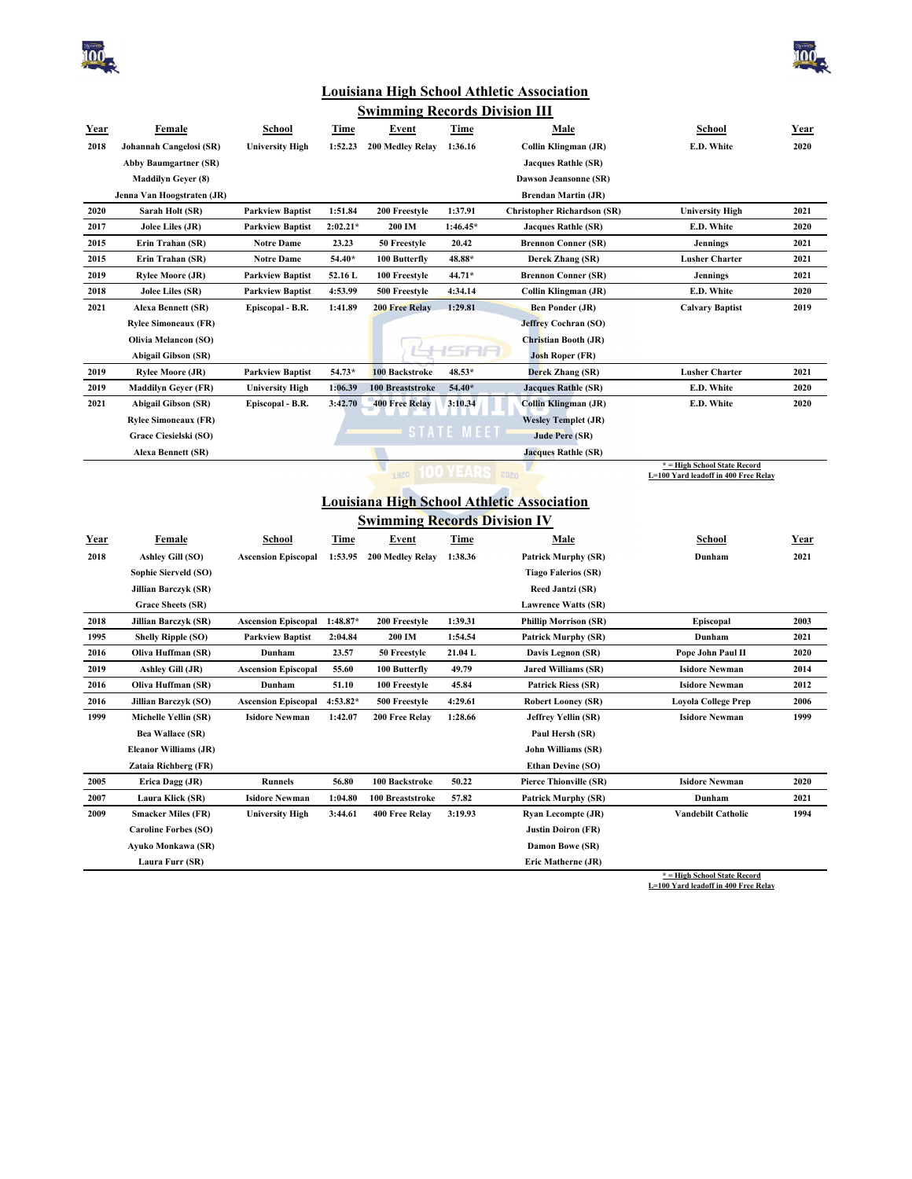



## **Louisiana High School Athletic Association**

| <b>Swimming Records Division III</b> |                              |                            |             |                              |                   |                                                   |                                                                      |             |  |
|--------------------------------------|------------------------------|----------------------------|-------------|------------------------------|-------------------|---------------------------------------------------|----------------------------------------------------------------------|-------------|--|
| <u>Year</u>                          | <b>Female</b>                | <b>School</b>              | <b>Time</b> | <b>Event</b>                 | <b>Time</b>       | <u>Male</u>                                       | <b>School</b>                                                        | <u>Year</u> |  |
| 2018                                 | Johannah Cangelosi (SR)      | <b>University High</b>     | 1:52.23     | 200 Medley Relay             | 1:36.16           | Collin Klingman (JR)                              | E.D. White                                                           | 2020        |  |
|                                      | <b>Abby Baumgartner (SR)</b> |                            |             |                              |                   | <b>Jacques Rathle (SR)</b>                        |                                                                      |             |  |
|                                      | <b>Maddilyn Geyer (8)</b>    |                            |             |                              |                   | Dawson Jeansonne (SR)                             |                                                                      |             |  |
|                                      | Jenna Van Hoogstraten (JR)   |                            |             |                              |                   | <b>Brendan Martin (JR)</b>                        |                                                                      |             |  |
| 2020                                 | Sarah Holt (SR)              | <b>Parkview Baptist</b>    | 1:51.84     | 200 Freestyle                | 1:37.91           | <b>Christopher Richardson (SR)</b>                | <b>University High</b>                                               | 2021        |  |
| 2017                                 | Jolee Liles (JR)             | <b>Parkview Baptist</b>    | $2:02.21*$  | 200 IM                       | 1:46.45*          | <b>Jacques Rathle (SR)</b>                        | E.D. White                                                           | 2020        |  |
| 2015                                 | Erin Trahan (SR)             | <b>Notre Dame</b>          | 23.23       | 50 Freestyle                 | 20.42             | <b>Brennon Conner (SR)</b>                        | <b>Jennings</b>                                                      | 2021        |  |
| 2015                                 | Erin Trahan (SR)             | <b>Notre Dame</b>          | 54.40*      | 100 Butterfly                | 48.88*            | Derek Zhang (SR)                                  | <b>Lusher Charter</b>                                                | 2021        |  |
| 2019                                 | <b>Rylee Moore (JR)</b>      | <b>Parkview Baptist</b>    | 52.16L      | 100 Freestyle                | 44.71*            | <b>Brennon Conner (SR)</b>                        | <b>Jennings</b>                                                      | 2021        |  |
| 2018                                 | Jolee Liles (SR)             | <b>Parkview Baptist</b>    | 4:53.99     | 500 Freestyle                | 4:34.14           | Collin Klingman (JR)                              | E.D. White                                                           | 2020        |  |
| 2021                                 | <b>Alexa Bennett (SR)</b>    | Episcopal - B.R.           | 1:41.89     | <b>200 Free Relay</b>        | 1:29.81           | <b>Ben Ponder (JR)</b>                            | <b>Calvary Baptist</b>                                               | 2019        |  |
|                                      | <b>Rylee Simoneaux (FR)</b>  |                            |             |                              |                   | <b>Jeffrey Cochran (SO)</b>                       |                                                                      |             |  |
|                                      | <b>Olivia Melancon (SO)</b>  |                            |             |                              |                   | Christian Booth (JR)                              |                                                                      |             |  |
|                                      | <b>Abigail Gibson (SR)</b>   |                            |             |                              |                   | <b>Josh Roper (FR)</b>                            |                                                                      |             |  |
| 2019                                 | <b>Rylee Moore (JR)</b>      | <b>Parkview Baptist</b>    | 54.73*      | 100 Backstroke               | 48.53*            | Derek Zhang (SR)                                  | <b>Lusher Charter</b>                                                | 2021        |  |
| 2019                                 | <b>Maddilyn Geyer (FR)</b>   | <b>University High</b>     | 1:06.39     | 100 Breaststroke             | $54.40*$          | <b>Jacques Rathle (SR)</b>                        | E.D. White                                                           | 2020        |  |
| 2021                                 | <b>Abigail Gibson (SR)</b>   | Episcopal - B.R.           | 3:42.70     | <b>400 Free Relay</b>        | 3:10.34           | <b>Collin Klingman (JR)</b>                       | E.D. White                                                           | 2020        |  |
|                                      | <b>Rylee Simoneaux (FR)</b>  |                            |             |                              |                   | <b>Wesley Templet (JR)</b>                        |                                                                      |             |  |
|                                      | Grace Ciesielski (SO)        |                            |             |                              | <b>STATE MEET</b> | <b>Jude Pere (SR)</b>                             |                                                                      |             |  |
|                                      | <b>Alexa Bennett (SR)</b>    |                            |             |                              |                   | <b>Jacques Rathle (SR)</b>                        |                                                                      |             |  |
|                                      |                              |                            |             | 1920                         |                   |                                                   | * = High School State Record<br>L=100 Yard leadoff in 400 Free Relay |             |  |
|                                      |                              |                            |             |                              |                   |                                                   |                                                                      |             |  |
|                                      |                              |                            |             |                              |                   |                                                   |                                                                      |             |  |
|                                      |                              |                            |             |                              |                   | <b>Louisiana High School Athletic Association</b> |                                                                      |             |  |
|                                      |                              |                            |             | Swimming Records Division IV |                   |                                                   |                                                                      |             |  |
| Year                                 | Female                       | School                     | Time        | Event                        | Time              | Male                                              | School                                                               | Year        |  |
| 2018                                 | Ashley Gill (SO)             | <b>Ascension Episcopal</b> | 1:53.95     | 200 Medley Relay             | 1:38.36           | <b>Patrick Murphy (SR)</b>                        | Dunham                                                               | 2021        |  |
|                                      | Sophie Sierveld (SO)         |                            |             |                              |                   | <b>Tiago Falerios (SR)</b>                        |                                                                      |             |  |
|                                      | Jillian Barczyk (SR)         |                            |             |                              |                   | Reed Jantzi (SR)                                  |                                                                      |             |  |
|                                      | <b>Grace Sheets (SR)</b>     |                            |             |                              |                   | <b>Lawrence Watts (SR)</b>                        |                                                                      |             |  |
| 2018                                 | Jillian Barczyk (SR)         | <b>Ascension Episcopal</b> | $1:48.87*$  | 200 Freestyle                | 1:39.31           | <b>Phillip Morrison (SR)</b>                      | Episcopal                                                            | 2003        |  |
| 1995                                 | <b>Shelly Ripple (SO)</b>    | <b>Parkview Baptist</b>    | 2:04.84     | 200 IM                       | 1:54.54           | <b>Patrick Murphy (SR)</b>                        | Dunham                                                               | 2021        |  |
| 2016                                 | Oliva Huffman (SR)           | Dunham                     | 23.57       | 50 Freestyle                 | 21.04 L           | Davis Legnon (SR)                                 | Pope John Paul II                                                    | 2020        |  |
| 2019                                 | Ashley Gill (JR)             | <b>Ascension Episcopal</b> | 55.60       | 100 Butterfly                | 49.79             | <b>Jared Williams (SR)</b>                        | <b>Isidore Newman</b>                                                | 2014        |  |
| 2016                                 | Oliva Huffman (SR)           | Dunham                     | 51.10       | 100 Freestyle                | 45.84             | <b>Patrick Riess (SR)</b>                         | <b>Isidore Newman</b>                                                | 2012        |  |
| 2016                                 | <b>Jillian Barczyk (SO)</b>  | <b>Ascension Episcopal</b> | 4:53.82*    | 500 Freestyle                | 4:29.61           | <b>Robert Looney (SR)</b>                         | <b>Loyola College Prep</b>                                           | 2006        |  |
| 1999                                 | Michelle Yellin (SR)         | <b>Isidore Newman</b>      | 1:42.07     | 200 Free Relay               | 1:28.66           | Jeffrey Yellin (SR)                               | <b>Isidore Newman</b>                                                | 1999        |  |
|                                      | <b>Bea Wallace (SR)</b>      |                            |             |                              |                   | Paul Hersh (SR)                                   |                                                                      |             |  |
|                                      | <b>Eleanor Williams (JR)</b> |                            |             |                              |                   | John Williams (SR)                                |                                                                      |             |  |
|                                      | Zataia Richberg (FR)         |                            |             |                              |                   | <b>Ethan Devine (SO)</b>                          |                                                                      |             |  |
| 2005                                 | Erica Dagg (JR)              | <b>Runnels</b>             | 56.80       | 100 Backstroke               | 50.22             | <b>Pierce Thionville (SR)</b>                     | <b>Isidore Newman</b>                                                | 2020        |  |
| 2007                                 | Laura Klick (SR)             | <b>Isidore Newman</b>      | 1:04.80     | 100 Breaststroke             | 57.82             | <b>Patrick Murphy (SR)</b>                        | Dunham                                                               | 2021        |  |
| 2009                                 | <b>Smacker Miles (FR)</b>    | <b>University High</b>     | 3:44.61     | 400 Free Relay               | 3:19.93           | <b>Ryan Lecompte (JR)</b>                         | <b>Vandebilt Catholic</b>                                            | 1994        |  |
|                                      | <b>Caroline Forbes (SO)</b>  |                            |             |                              |                   | <b>Justin Doiron (FR)</b>                         |                                                                      |             |  |
|                                      | Ayuko Monkawa (SR)           |                            |             |                              |                   | Damon Bowe (SR)                                   |                                                                      |             |  |

**\* = High School State Record L=100 Yard leadoff in 400 Free Relay**